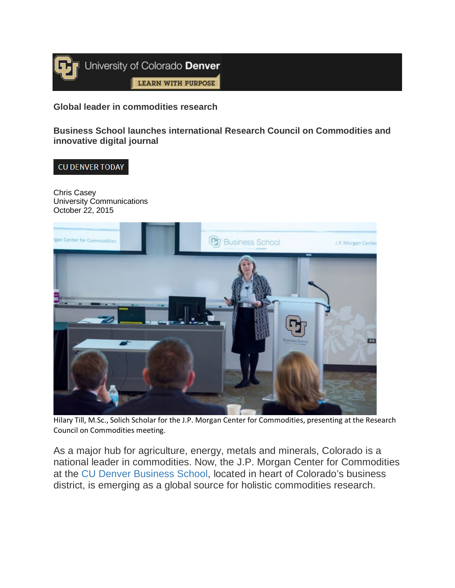

**Global leader in commodities research**

**Business School launches international Research Council on Commodities and innovative digital journal**

## CU DENVER TODAY

Chris Casey University Communications October 22, 2015



Hilary Till, M.Sc., Solich Scholar for the J.P. Morgan Center for Commodities, presenting at the Research Council on Commodities meeting.

As a major hub for agriculture, energy, metals and minerals, Colorado is a national leader in commodities. Now, the J.P. Morgan Center for Commodities at the [CU Denver Business School,](http://www.ucdenver.edu/academics/colleges/business/Pages/business-school.aspx) located in heart of Colorado's business district, is emerging as a global source for holistic commodities research.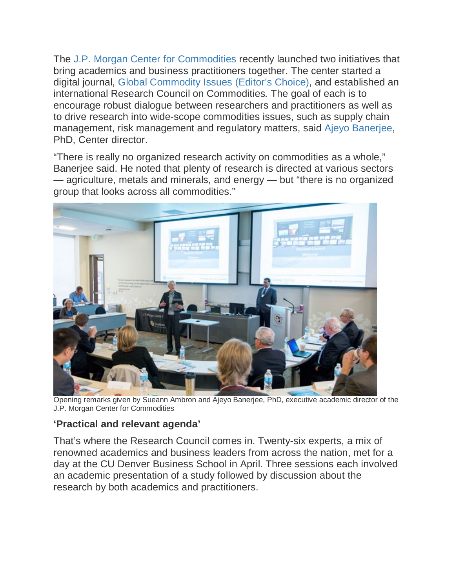The [J.P. Morgan Center for Commodities](http://www.ucdenver.edu/academics/colleges/business/industry-programs/commodities/Pages/center-for-commodities.aspx) recently launched two initiatives that bring academics and business practitioners together. The center started a digital journal, [Global Commodity Issues \(Editor's Choice\),](http://www.ucdenver.edu/academics/colleges/business/industry-programs/commodities/Pages/Global-Commodity-Issues.aspx) and established an international Research Council on Commodities*.* The goal of each is to encourage robust dialogue between researchers and practitioners as well as to drive research into wide-scope commodities issues, such as supply chain management, risk management and regulatory matters, said [Ajeyo Banerjee,](http://www.ucdenver.edu/academics/colleges/business/about/Faculty-Research/FacultyDirectory/Pages/Ajeyo-Banerjee.aspx) PhD, Center director.

"There is really no organized research activity on commodities as a whole," Banerjee said. He noted that plenty of research is directed at various sectors — agriculture, metals and minerals, and energy — but "there is no organized group that looks across all commodities."



Opening remarks given by Sueann Ambron and Ajeyo Banerjee, PhD, executive academic director of the J.P. Morgan Center for Commodities

## **'Practical and relevant agenda'**

That's where the Research Council comes in. Twenty-six experts, a mix of renowned academics and business leaders from across the nation, met for a day at the CU Denver Business School in April. Three sessions each involved an academic presentation of a study followed by discussion about the research by both academics and practitioners.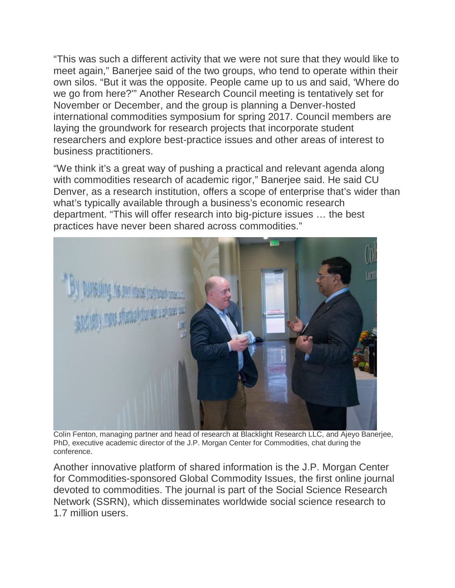"This was such a different activity that we were not sure that they would like to meet again," Banerjee said of the two groups, who tend to operate within their own silos. "But it was the opposite. People came up to us and said, 'Where do we go from here?'" Another Research Council meeting is tentatively set for November or December, and the group is planning a Denver-hosted international commodities symposium for spring 2017. Council members are laying the groundwork for research projects that incorporate student researchers and explore best-practice issues and other areas of interest to business practitioners.

"We think it's a great way of pushing a practical and relevant agenda along with commodities research of academic rigor," Banerjee said. He said CU Denver, as a research institution, offers a scope of enterprise that's wider than what's typically available through a business's economic research department. "This will offer research into big-picture issues … the best practices have never been shared across commodities."



Colin Fenton, managing partner and head of research at Blacklight Research LLC, and Ajeyo Banerjee, PhD, executive academic director of the J.P. Morgan Center for Commodities, chat during the conference.

Another innovative platform of shared information is the J.P. Morgan Center for Commodities-sponsored Global Commodity Issues, the first online journal devoted to commodities. The journal is part of the Social Science Research Network (SSRN), which disseminates worldwide social science research to 1.7 million users.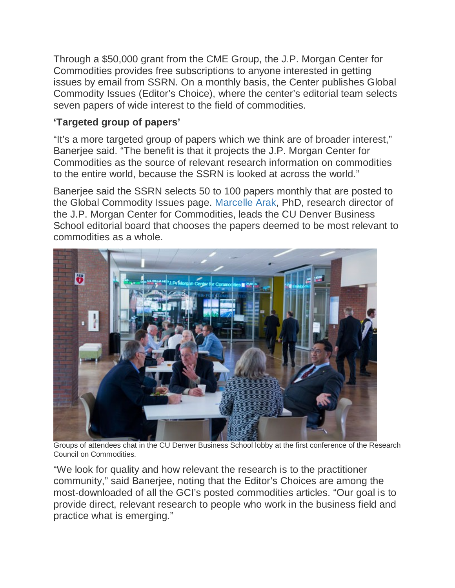Through a \$50,000 grant from the CME Group, the J.P. Morgan Center for Commodities provides free subscriptions to anyone interested in getting issues by email from SSRN. On a monthly basis, the Center publishes Global Commodity Issues (Editor's Choice), where the center's editorial team selects seven papers of wide interest to the field of commodities.

## **'Targeted group of papers'**

"It's a more targeted group of papers which we think are of broader interest," Banerjee said. "The benefit is that it projects the J.P. Morgan Center for Commodities as the source of relevant research information on commodities to the entire world, because the SSRN is looked at across the world."

Banerjee said the SSRN selects 50 to 100 papers monthly that are posted to the Global Commodity Issues page. [Marcelle Arak,](http://www.ucdenver.edu/academics/colleges/business/about/Faculty-Research/FacultyDirectory/Pages/Marcelle-Arak.aspx) PhD, research director of the J.P. Morgan Center for Commodities, leads the CU Denver Business School editorial board that chooses the papers deemed to be most relevant to commodities as a whole.



Groups of attendees chat in the CU Denver Business School lobby at the first conference of the Research Council on Commodities.

"We look for quality and how relevant the research is to the practitioner community," said Banerjee, noting that the Editor's Choices are among the most-downloaded of all the GCI's posted commodities articles. "Our goal is to provide direct, relevant research to people who work in the business field and practice what is emerging."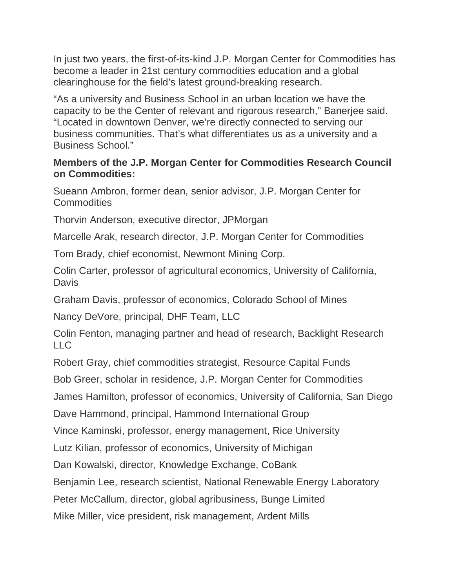In just two years, the first-of-its-kind J.P. Morgan Center for Commodities has become a leader in 21st century commodities education and a global clearinghouse for the field's latest ground-breaking research.

"As a university and Business School in an urban location we have the capacity to be the Center of relevant and rigorous research," Banerjee said. "Located in downtown Denver, we're directly connected to serving our business communities. That's what differentiates us as a university and a Business School."

## **Members of the J.P. Morgan Center for Commodities Research Council on Commodities:**

Sueann Ambron, former dean, senior advisor, J.P. Morgan Center for Commodities

Thorvin Anderson, executive director, JPMorgan

Marcelle Arak, research director, J.P. Morgan Center for Commodities

Tom Brady, chief economist, Newmont Mining Corp.

Colin Carter, professor of agricultural economics, University of California, **Davis** 

Graham Davis, professor of economics, Colorado School of Mines

Nancy DeVore, principal, DHF Team, LLC

Colin Fenton, managing partner and head of research, Backlight Research LLC

Robert Gray, chief commodities strategist, Resource Capital Funds

Bob Greer, scholar in residence, J.P. Morgan Center for Commodities

James Hamilton, professor of economics, University of California, San Diego

Dave Hammond, principal, Hammond International Group

Vince Kaminski, professor, energy management, Rice University

Lutz Kilian, professor of economics, University of Michigan

Dan Kowalski, director, Knowledge Exchange, CoBank

Benjamin Lee, research scientist, National Renewable Energy Laboratory

Peter McCallum, director, global agribusiness, Bunge Limited

Mike Miller, vice president, risk management, Ardent Mills